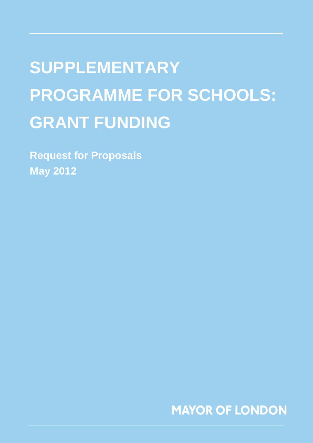# **SUPPLEMENTARY PROGRAMME FOR SCHOOLS: GRANT FUNDING**

**Request for Proposals May 2012**

**MAYOR OF LONDON**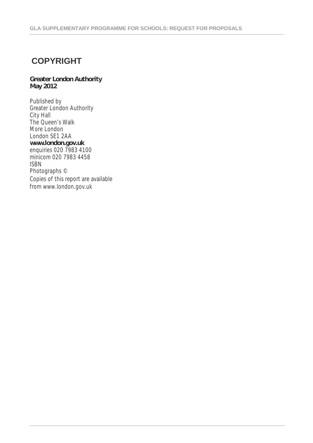### **COPYRIGHT**

#### **Greater London Authority May 2012**

Published by Greater London Authority City Hall The Queen's Walk More London London SE1 2AA **www.london.gov.uk** enquiries 020 7983 4100 minicom 020 7983 4458 ISBN Photographs © Copies of this report are available from www.london.gov.uk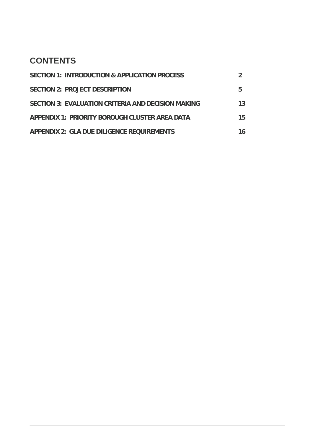### **CONTENTS**

| <b>SECTION 1: INTRODUCTION &amp; APPLICATION PROCESS</b>  |    |
|-----------------------------------------------------------|----|
| SECTION 2: PROJECT DESCRIPTION                            | 5  |
| <b>SECTION 3: EVALUATION CRITERIA AND DECISION MAKING</b> | 13 |
| APPENDIX 1: PRIORITY BOROUGH CLUSTER AREA DATA            | 15 |
| <b>APPENDIX 2: GLA DUE DILIGENCE REQUIREMENTS</b>         | 16 |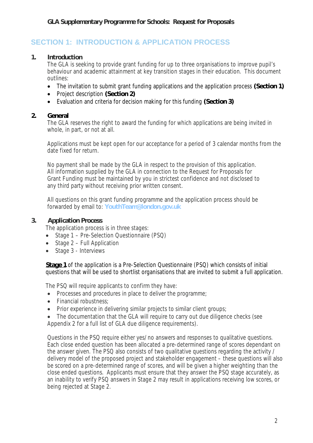### **SECTION 1: INTRODUCTION & APPLICATION PROCESS**

#### **1. Introduction**

The GLA is seeking to provide grant funding for up to three organisations to improve pupil's behaviour and academic attainment at key transition stages in their education. This document outlines:

- The invitation to submit grant funding applications and the application process **(Section 1)**
- Project description **(Section 2)**
- Evaluation and criteria for decision making for this funding **(Section 3)**

#### **2. General**

The GLA reserves the right to award the funding for which applications are being invited in whole, in part, or not at all.

Applications must be kept open for our acceptance for a period of 3 calendar months from the date fixed for return.

No payment shall be made by the GLA in respect to the provision of this application. All information supplied by the GLA in connection to the Request for Proposals for Grant Funding must be maintained by you in strictest confidence and not disclosed to any third party without receiving prior written consent.

All questions on this grant funding programme and the application process should be forwarded by email to: **YouthTeam@london.gov.uk**

#### **3. Application Process**

The application process is in three stages:

- Stage 1 Pre-Selection Questionnaire (PSQ)
- Stage 2 Full Application
- Stage 3 Interviews

**Stage 1** of the application is a Pre-Selection Questionnaire (PSQ) which consists of initial questions that will be used to shortlist organisations that are invited to submit a full application.

The PSQ will require applicants to confirm they have:

- Processes and procedures in place to deliver the programme;
- Financial robustness:
- Prior experience in delivering similar projects to similar client groups;
- The documentation that the GLA will require to carry out due diligence checks (see Appendix 2 for a full list of GLA due diligence requirements).

Questions in the PSQ require either yes/no answers and responses to qualitative questions. Each close ended question has been allocated a pre-determined range of scores dependant on the answer given. The PSQ also consists of two qualitative questions regarding the activity / delivery model of the proposed project and stakeholder engagement – these questions will also be scored on a pre-determined range of scores, and will be given a higher weighting than the close ended questions. Applicants must ensure that they answer the PSQ stage accurately, as an inability to verify PSQ answers in Stage 2 may result in applications receiving low scores, or being rejected at Stage 2.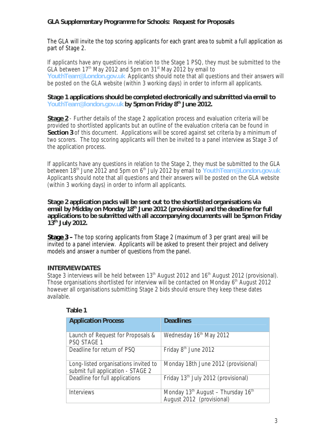The GLA will invite the top scoring applicants for each grant area to submit a full application as part of Stage 2.

If applicants have any questions in relation to the Stage 1 PSQ, they must be submitted to the GLA between  $17<sup>th</sup>$  May 2012 and 5pm on 31<sup>st</sup> May 2012 by email to **YouthTeam@London.gov.uk** Applicants should note that all questions and their answers will be posted on the GLA website (within 3 working days) in order to inform all applicants.

#### **Stage 1 applications should be completed electronically and submitted via email to YouthTeam@london.gov.uk by 5pm on Friday 8 th June 2012.**

**Stage 2** - Further details of the stage 2 application process and evaluation criteria will be provided to shortlisted applicants but an outline of the evaluation criteria can be found in **Section 3** of this document. Applications will be scored against set criteria by a minimum of two scorers. The top scoring applicants will then be invited to a panel interview as Stage 3 of the application process.

If applicants have any questions in relation to the Stage 2, they must be submitted to the GLA between 18<sup>th</sup> June 2012 and 5pm on 6<sup>th</sup> July 2012 by email to **YouthTeam@London.gov.uk** Applicants should note that all questions and their answers will be posted on the GLA website (within 3 working days) in order to inform all applicants.

**Stage 2 application packs will be sent out to the shortlisted organisations via email by Midday on Monday 18th June 2012 (provisional) and the deadline for full applications to be submitted with all accompanying documents will be 5pm on Friday 13th July 2012.**

**Stage 3 –** The top scoring applicants from Stage 2 (maximum of 3 per grant area) will be invited to a panel interview. Applicants will be asked to present their project and delivery models and answer a number of questions from the panel.

#### **INTERVIEW DATES**

Stage 3 interviews will be held between  $13<sup>th</sup>$  August 2012 and  $16<sup>th</sup>$  August 2012 (provisional). Those organisations shortlisted for interview will be contacted on Monday 6<sup>th</sup> August 2012 however all organisations submitting Stage 2 bids should ensure they keep these dates available.

| <b>Application Process</b>                                                | <b>Deadlines</b>                                                                        |
|---------------------------------------------------------------------------|-----------------------------------------------------------------------------------------|
| Launch of Request for Proposals &<br>PSQ STAGE 1                          | Wednesday 16th May 2012                                                                 |
| Deadline for return of PSQ                                                | Friday 8 <sup>th</sup> June 2012                                                        |
| Long-listed organisations invited to<br>submit full application - STAGE 2 | Monday 18th June 2012 (provisional)                                                     |
| Deadline for full applications                                            | Friday 13 <sup>th</sup> July 2012 (provisional)                                         |
| <b>Interviews</b>                                                         | Monday 13 <sup>th</sup> August - Thursday 16 <sup>th</sup><br>August 2012 (provisional) |

#### **Table 1**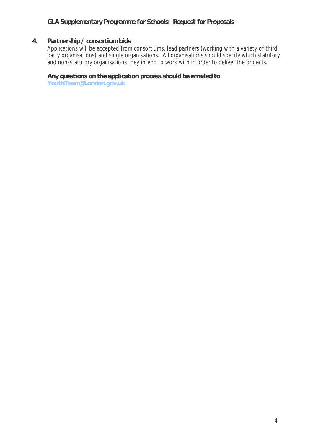#### **4. Partnership / consortium bids**

Applications will be accepted from consortiums, lead partners (working with a variety of third party organisations) and single organisations. All organisations should specify which statutory and non-statutory organisations they intend to work with in order to deliver the projects.

#### **Any questions on the application process should be emailed to**

**YouthTeam@London.gov.uk**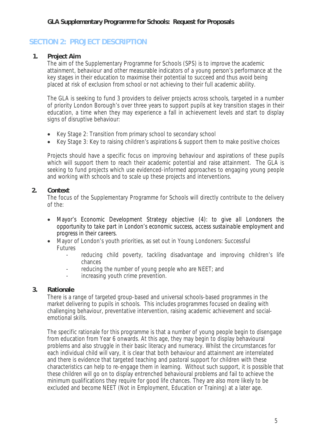### **SECTION 2: PROJECT DESCRIPTION**

#### **1. Project Aim**

The aim of the Supplementary Programme for Schools (SPS) is to improve the academic attainment, behaviour and other measurable indicators of a young person's performance at the key stages in their education to maximise their potential to succeed and thus avoid being placed at risk of exclusion from school or not achieving to their full academic ability.

The GLA is seeking to fund 3 providers to deliver projects across schools, targeted in a number of priority London Borough's over three years to support pupils at key transition stages in their education, a time when they may experience a fall in achievement levels and start to display signs of disruptive behaviour:

- Key Stage 2: Transition from primary school to secondary school
- Key Stage 3: Key to raising children's aspirations & support them to make positive choices

Projects should have a specific focus on improving behaviour and aspirations of these pupils which will support them to reach their academic potential and raise attainment. The GLA is seeking to fund projects which use evidenced-informed approaches to engaging young people and working with schools and to scale up these projects and interventions.

#### **2. Context**

The focus of the Supplementary Programme for Schools will directly contribute to the delivery of the:

- Mayor's Economic Development Strategy objective (4): *to give all Londoners the opportunity to take part in London's economic success, access sustainable employment and progress in their careers*.
- Mayor of London's youth priorities, as set out in Young Londoners: Successful Futures
	- reducing child poverty, tackling disadvantage and improving children's life chances
	- reducing the number of young people who are NEET; and
	- increasing youth crime prevention.

#### **3. Rationale**

There is a range of targeted group-based and universal schools-based programmes in the market delivering to pupils in schools. This includes programmes focused on dealing with challenging behaviour, preventative intervention, raising academic achievement and socialemotional skills.

The specific rationale for this programme is that a number of young people begin to disengage from education from Year 6 onwards. At this age, they may begin to display behavioural problems and also struggle in their basic literacy and numeracy. Whilst the circumstances for each individual child will vary, it is clear that both behaviour and attainment are interrelated and there is evidence that targeted teaching and pastoral support for children with these characteristics can help to re-engage them in learning. Without such support, it is possible that these children will go on to display entrenched behavioural problems and fail to achieve the minimum qualifications they require for good life chances. They are also more likely to be excluded and become NEET (Not in Employment, Education or Training) at a later age.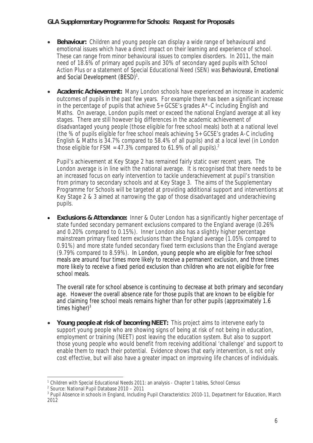- **Behaviour:** Children and young people can display a wide range of behavioural and emotional issues which have a direct impact on their learning and experience of school. These can range from minor behavioural issues to complex disorders. In 2011, the main need of 18.6% of primary aged pupils and 30% of secondary aged pupils with School Action Plus or a statement of Special Educational Need (SEN) was Behavioural, Emotional and Social Development (BESD)<sup>1</sup>.
- **Academic Achievement:** Many London schools have experienced an increase in academic outcomes of pupils in the past few years. For example there has been a significant increase in the percentage of pupils that achieve 5+ GCSE's grades A\*-C including English and Maths. On average, London pupils meet or exceed the national England average at all key stages. There are still however big differences in the academic achievement of disadvantaged young people (those eligible for free school meals) both at a national level (the % of pupils eligible for free school meals achieving 5+ GCSE's grades A-C including English & Maths is 34.7% compared to 58.4% of all pupils) and at a local level (in London those eligible for FSM = 47.3% compared to 61.9% of all pupils).<sup>2</sup>

Pupil's achievement at Key Stage 2 has remained fairly static over recent years. The London average is in line with the national average. It is recognised that there needs to be an increased focus on early intervention to tackle underachievement at pupil's transition from primary to secondary schools and at Key Stage 3. The aims of the Supplementary Programme for Schools will be targeted at providing additional support and interventions at Key Stage 2 & 3 aimed at narrowing the gap of those disadvantaged and underachieving pupils.

 **Exclusions & Attendance:** Inner & Outer London has a significantly higher percentage of state funded secondary permanent exclusions compared to the England average (0.26% and 0.20% compared to 0.15%). Inner London also has a slightly higher percentage mainstream primary fixed term exclusions than the England average (1.05% compared to 0.91%) and more state funded secondary fixed term exclusions than the England average (9.79% compared to 8.59%). In London, young people who are eligible for free school meals are around four times more likely to receive a permanent exclusion, and three times more likely to receive a fixed period exclusion than children who are not eligible for free school meals.

The overall rate for school absence is continuing to decrease at both primary and secondary age. However the overall absence rate for those pupils that are known to be eligible for and claiming free school meals remains higher than for other pupils (approximately 1.6 times higher) $3$ 

 **Young people at risk of becoming NEET:** This project aims to intervene early to support young people who are showing signs of being at risk of not being in education, employment or training (NEET) post leaving the education system. But also to support those young people who would benefit from receiving additional 'challenge' and support to enable them to reach their potential. Evidence shows that early intervention, is not only cost effective, but will also have a greater impact on improving life chances of individuals.

 $\overline{a}$ <sup>1</sup> Children with Special Educational Needs 2011: an analysis - Chapter 1 tables, School Census

<sup>2</sup> Source: National Pupil Database 2010 – 2011

<sup>&</sup>lt;sup>3</sup> Pupil Absence in schools in England, Including Pupil Characteristics: 2010-11, Department for Education, March 2012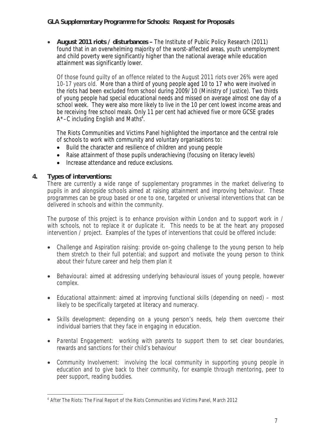**August 2011 riots / disturbances –** The Institute of Public Policy Research (2011) found that in an overwhelming majority of the worst-affected areas, youth unemployment and child poverty were significantly higher than the national average while education attainment was significantly lower.

Of those found guilty of an offence related to the August 2011 riots over 26% were aged 10-17 years old. More than a third of young people aged 10 to 17 who were involved in the riots had been excluded from school during 2009/10 (Ministry of Justice). Two thirds of young people had special educational needs and missed on average almost one day of a school week. They were also more likely to live in the 10 per cent lowest income areas and be receiving free school meals. Only 11 per cent had achieved five or more GCSE grades  $A^*$ –C including English and Maths<sup>4</sup>.

The Riots Communities and Victims Panel highlighted the importance and the central role of schools to work with community and voluntary organisations to:

- Build the character and resilience of children and young people
- Raise attainment of those pupils underachieving (focusing on literacy levels)
- Increase attendance and reduce exclusions.

#### **4. Types of interventions:**

There are currently a wide range of supplementary programmes in the market delivering to pupils in and alongside schools aimed at raising attainment and improving behaviour. These programmes can be group based or one to one, targeted or universal interventions that can be delivered in schools and within the community.

The purpose of this project is to enhance provision within London and to support work in / with schools, not to replace it or duplicate it. This needs to be at the heart any proposed intervention / project. Examples of the types of interventions that could be offered include:

- *Challenge and Aspiration raising:* provide on-going challenge to the young person to help them stretch to their full potential; and support and motivate the young person to think about their future career and help them plan it
- *Behavioural:* aimed at addressing underlying behavioural issues of young people, however complex.
- *Educational attainment:* aimed at improving functional skills (depending on need) most likely to be specifically targeted at literacy and numeracy.
- *Skills development*: depending on a young person's needs, help them overcome their individual barriers that they face in engaging in education.
- *Parental Engagement:* working with parents to support them to set clear boundaries, rewards and sanctions for their child's behaviour
- *Community Involvement:* involving the local community in supporting young people in education and to give back to their community, for example through mentoring, peer to peer support, reading buddies.

 $\overline{a}$ 4 After The Riots: The Final Report of the Riots Communities and Victims Panel, March 2012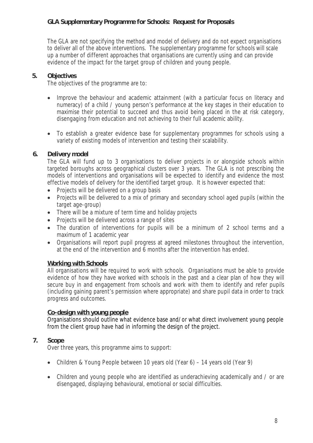The GLA are not specifying the method and model of delivery and do not expect organisations to deliver all of the above interventions. The supplementary programme for schools will scale up a number of different approaches that organisations are currently using and can provide evidence of the impact for the target group of children and young people.

#### **5. Objectives**

The objectives of the programme are to:

- Improve the behaviour and academic attainment (with a particular focus on literacy and numeracy) of a child / young person's performance at the key stages in their education to maximise their potential to succeed and thus avoid being placed in the at risk category, disengaging from education and not achieving to their full academic ability.
- To establish a greater evidence base for supplementary programmes for schools using a variety of existing models of intervention and testing their scalability.

### **6. Delivery model**

The GLA will fund up to 3 organisations to deliver projects in or alongside schools within targeted boroughs across geographical clusters over 3 years. The GLA is not prescribing the models of interventions and organisations will be expected to identify and evidence the most effective models of delivery for the identified target group. It is however expected that:

- Projects will be delivered on a group basis
- Projects will be delivered to a mix of primary and secondary school aged pupils (within the target age-group)
- There will be a mixture of term time and holiday projects
- Projects will be delivered across a range of sites
- The duration of interventions for pupils will be a minimum of 2 school terms and a maximum of 1 academic year
- Organisations will report pupil progress at agreed milestones throughout the intervention, at the end of the intervention and 6 months after the intervention has ended.

#### **Working with Schools**

All organisations will be required to work with schools. Organisations must be able to provide evidence of how they have worked with schools in the past and a clear plan of how they will secure buy in and engagement from schools and work with them to identify and refer pupils (including gaining parent's permission where appropriate) and share pupil data in order to track progress and outcomes.

#### **Co-design with young people**

Organisations should outline what evidence base and/or what direct involvement young people from the client group have had in informing the design of the project.

#### **7. Scope**

Over three years, this programme aims to support:

- Children & Young People between 10 years old (Year 6) 14 years old (Year 9)
- Children and young people who are identified as underachieving academically and / or are disengaged, displaying behavioural, emotional or social difficulties.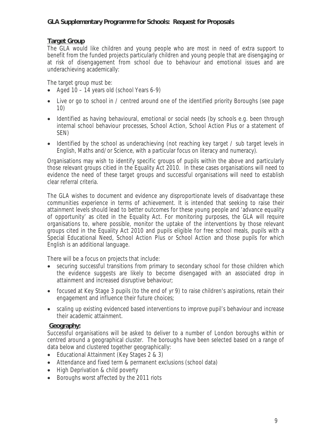#### **Target Group**

The GLA would like children and young people who are most in need of extra support to benefit from the funded projects particularly children and young people that are disengaging or at risk of disengagement from school due to behaviour and emotional issues and are underachieving academically:

The target group must be:

- Aged  $10 14$  years old (school Years 6-9)
- Live or go to school in / centred around one of the identified priority Boroughs (see page 10)
- Identified as having behavioural, emotional or social needs (by schools e.g. been through internal school behaviour processes, School Action, School Action Plus or a statement of SEN)
- Identified by the school as underachieving (not reaching key target / sub target levels in English, Maths and/or Science, with a particular focus on literacy and numeracy).

Organisations may wish to identify specific groups of pupils within the above and particularly those relevant groups citied in the Equality Act 2010. In these cases organisations will need to evidence the need of these target groups and successful organisations will need to establish clear referral criteria.

The GLA wishes to document and evidence any disproportionate levels of disadvantage these communities experience in terms of achievement. It is intended that seeking to raise their attainment levels should lead to better outcomes for these young people and 'advance equality of opportunity' as cited in the Equality Act. For monitoring purposes, the GLA will require organisations to, where possible, monitor the uptake of the interventions by those relevant groups cited in the Equality Act 2010 and pupils eligible for free school meals, pupils with a Special Educational Need, School Action Plus or School Action and those pupils for which English is an additional language.

There will be a focus on projects that include:

- securing successful transitions from primary to secondary school for those children which the evidence suggests are likely to become disengaged with an associated drop in attainment and increased disruptive behaviour;
- focused at Key Stage 3 pupils (to the end of yr 9) to raise children's aspirations, retain their engagement and influence their future choices;
- scaling up existing evidenced based interventions to improve pupil's behaviour and increase their academic attainment.

#### **Geography:**

Successful organisations will be asked to deliver to a number of London boroughs within or centred around a geographical cluster. The boroughs have been selected based on a range of data below and clustered together geographically:

- Educational Attainment (Key Stages 2 & 3)
- Attendance and fixed term & permanent exclusions (school data)
- High Deprivation & child poverty
- Boroughs worst affected by the 2011 riots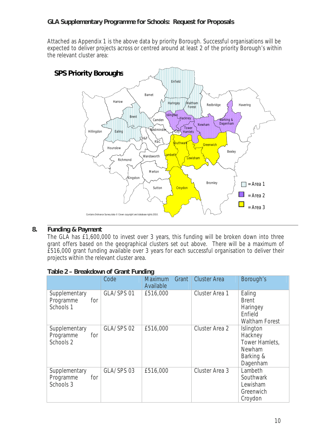Attached as Appendix 1 is the above data by priority Borough. Successful organisations will be expected to deliver projects across or centred around at least 2 of the priority Borough's within the relevant cluster area:



#### **8. Funding & Payment**

The GLA has £1,600,000 to invest over 3 years, this funding will be broken down into three grant offers based on the geographical clusters set out above. There will be a maximum of £516,000 grant funding available over 3 years for each successful organisation to deliver their projects within the relevant cluster area.

|                                                | Code       | <b>Maximum</b><br>Grant<br>Available | <b>Cluster Area</b> | Borough's                                                                 |
|------------------------------------------------|------------|--------------------------------------|---------------------|---------------------------------------------------------------------------|
| Supplementary<br>Programme<br>for<br>Schools 1 | GLA/SPS 01 | £516,000                             | Cluster Area 1      | Ealing<br><b>Brent</b><br>Haringey<br>Enfield<br><b>Waltham Forest</b>    |
| Supplementary<br>for<br>Programme<br>Schools 2 | GLA/SPS 02 | £516,000                             | Cluster Area 2      | Islington<br>Hackney<br>Tower Hamlets,<br>Newham<br>Barking &<br>Dagenham |
| Supplementary<br>Programme<br>for<br>Schools 3 | GLA/SPS 03 | £516,000                             | Cluster Area 3      | Lambeth<br>Southwark<br>Lewisham<br>Greenwich<br>Croydon                  |

#### **Table 2 – Breakdown of Grant Funding**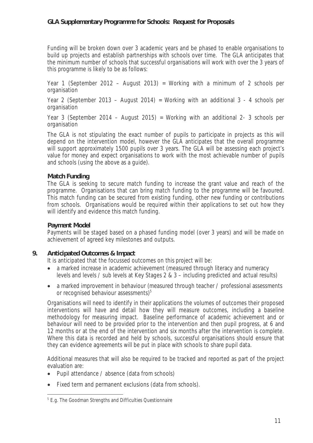Funding will be broken down over 3 academic years and be phased to enable organisations to build up projects and establish partnerships with schools over time. The GLA anticipates that the minimum number of schools that successful organisations will work with over the 3 years of this programme is likely to be as follows:

Year 1 (September 2012 – August 2013) = Working with a minimum of 2 schools per organisation

Year 2 (September 2013 – August 2014) = Working with an additional 3 - 4 schools per organisation

Year 3 (September 2014 – August 2015) = Working with an additional 2- 3 schools per organisation

The GLA is not stipulating the exact number of pupils to participate in projects as this will depend on the intervention model, however the GLA anticipates that the overall programme will support approximately 1500 pupils over 3 years. The GLA will be assessing each project's value for money and expect organisations to work with the most achievable number of pupils and schools (using the above as a guide).

#### **Match Funding**

The GLA is seeking to secure match funding to increase the grant value and reach of the programme. Organisations that can bring match funding to the programme will be favoured. This match funding can be secured from existing funding, other new funding or contributions from schools. Organisations would be required within their applications to set out how they will identify and evidence this match funding.

#### **Payment Model**

Payments will be staged based on a phased funding model (over 3 years) and will be made on achievement of agreed key milestones and outputs.

#### **9. Anticipated Outcomes & Impact**

It is anticipated that the focussed outcomes on this project will be:

- a marked increase in academic achievement (measured through literacy and numeracy levels and levels / sub levels at Key Stages 2 & 3 – including predicted and actual results)
- a marked improvement in behaviour (measured through teacher / professional assessments or recognised behaviour assessments)<sup>5</sup>

Organisations will need to identify in their applications the volumes of outcomes their proposed interventions will have and detail how they will measure outcomes, including a baseline methodology for measuring impact. Baseline performance of academic achievement and or behaviour will need to be provided prior to the intervention and then pupil progress, at 6 and 12 months or at the end of the intervention and six months after the intervention is complete. Where this data is recorded and held by schools, successful organisations should ensure that they can evidence agreements will be put in place with schools to share pupil data.

Additional measures that will also be required to be tracked and reported as part of the project evaluation are:

- Pupil attendance / absence (data from schools)
- Fixed term and permanent exclusions (data from schools).

 5 E.g. The Goodman Strengths and Difficulties Questionnaire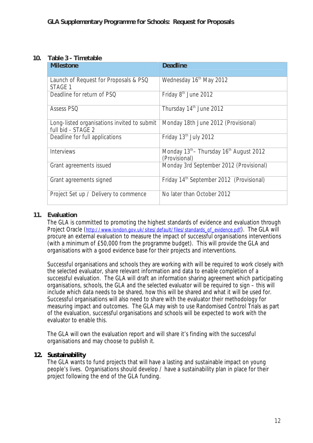#### **10. Table 3 - Timetable**

| <b>Milestone</b>                                                  | <b>Deadline</b>                                                                  |
|-------------------------------------------------------------------|----------------------------------------------------------------------------------|
| Launch of Request for Proposals & PSQ<br>STAGE 1                  | Wednesday 16 <sup>th</sup> May 2012                                              |
| Deadline for return of PSQ                                        | Friday 8 <sup>th</sup> June 2012                                                 |
| <b>Assess PSQ</b>                                                 | Thursday 14th June 2012                                                          |
| Long-listed organisations invited to submit<br>full bid - STAGE 2 | Monday 18th June 2012 (Provisional)                                              |
| Deadline for full applications                                    | Friday 13 <sup>th</sup> July 2012                                                |
| <b>Interviews</b>                                                 | Monday 13 <sup>th</sup> - Thursday 16 <sup>th</sup> August 2012<br>(Provisional) |
| Grant agreements issued                                           | Monday 3rd September 2012 (Provisional)                                          |
| Grant agreements signed                                           | Friday 14 <sup>th</sup> September 2012 (Provisional)                             |
| Project Set up / Delivery to commence                             | No later than October 2012                                                       |

#### **11. Evaluation**

The GLA is committed to promoting the highest standards of evidence and evaluation through Project Oracle (http://www.london.gov.uk/sites/default/files/standards\_of\_evidence.pdf). The GLA will procure an external evaluation to measure the impact of successful organisations interventions (with a minimum of £50,000 from the programme budget). This will provide the GLA and organisations with a good evidence base for their projects and interventions.

Successful organisations and schools they are working with will be required to work closely with the selected evaluator, share relevant information and data to enable completion of a successful evaluation. The GLA will draft an information sharing agreement which participating organisations, schools, the GLA and the selected evaluator will be required to sign – this will include which data needs to be shared, how this will be shared and what it will be used for. Successful organisations will also need to share with the evaluator their methodology for measuring impact and outcomes. The GLA may wish to use Randomised Control Trials as part of the evaluation, successful organisations and schools will be expected to work with the evaluator to enable this.

The GLA will own the evaluation report and will share it's finding with the successful organisations and may choose to publish it.

#### **12. Sustainability**

The GLA wants to fund projects that will have a lasting and sustainable impact on young people's lives. Organisations should develop / have a sustainability plan in place for their project following the end of the GLA funding.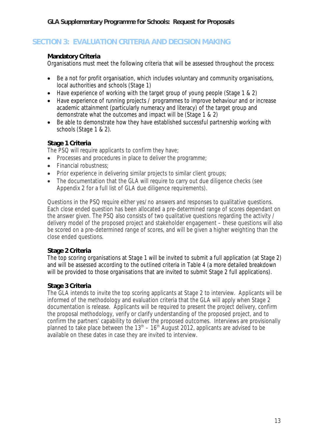### **SECTION 3: EVALUATION CRITERIA AND DECISION MAKING**

#### **Mandatory Criteria**

Organisations must meet the following criteria that will be assessed throughout the process:

- Be a not for profit organisation, which includes voluntary and community organisations, local authorities and schools (Stage 1)
- Have experience of working with the target group of young people (Stage 1 & 2)
- Have experience of running projects / programmes to improve behaviour and or increase academic attainment (particularly numeracy and literacy) of the target group and demonstrate what the outcomes and impact will be (Stage 1 & 2)
- Be able to demonstrate how they have established successful partnership working with schools (Stage 1 & 2).

### **Stage 1 Criteria**

The PSQ will require applicants to confirm they have;

- Processes and procedures in place to deliver the programme;
- Financial robustness:
- Prior experience in delivering similar projects to similar client groups;
- The documentation that the GLA will require to carry out due diligence checks (see Appendix 2 for a full list of GLA due diligence requirements).

Questions in the PSQ require either yes/no answers and responses to qualitative questions. Each close ended question has been allocated a pre-determined range of scores dependant on the answer given. The PSQ also consists of two qualitative questions regarding the activity / delivery model of the proposed project and stakeholder engagement – these questions will also be scored on a pre-determined range of scores, and will be given a higher weighting than the close ended questions.

#### **Stage 2 Criteria**

The top scoring organisations at Stage 1 will be invited to submit a full application (at Stage 2) and will be assessed according to the outlined criteria in Table 4 (a more detailed breakdown will be provided to those organisations that are invited to submit Stage 2 full applications).

#### **Stage 3 Criteria**

The GLA intends to invite the top scoring applicants at Stage 2 to interview. Applicants will be informed of the methodology and evaluation criteria that the GLA will apply when Stage 2 documentation is release. Applicants will be required to present the project delivery, confirm the proposal methodology, verify or clarify understanding of the proposed project, and to confirm the partners' capability to deliver the proposed outcomes. Interviews are provisionally planned to take place between the  $13<sup>th</sup> - 16<sup>th</sup>$  August 2012, applicants are advised to be available on these dates in case they are invited to interview.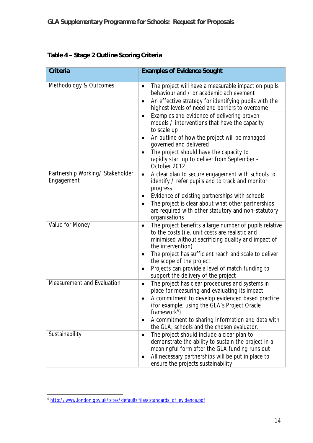|  |  | Table 4 - Stage 2 Outline Scoring Criteria |  |
|--|--|--------------------------------------------|--|
|  |  |                                            |  |

| <b>Criteria</b>                                | <b>Examples of Evidence Sought</b>                                                                                                                                                                                     |
|------------------------------------------------|------------------------------------------------------------------------------------------------------------------------------------------------------------------------------------------------------------------------|
| Methodology & Outcomes                         | The project will have a measurable impact on pupils<br>$\bullet$<br>behaviour and / or academic achievement                                                                                                            |
|                                                | An effective strategy for identifying pupils with the<br>$\bullet$<br>highest levels of need and barriers to overcome                                                                                                  |
|                                                | Examples and evidence of delivering proven<br>$\bullet$<br>models / interventions that have the capacity<br>to scale up                                                                                                |
|                                                | An outline of how the project will be managed<br>governed and delivered                                                                                                                                                |
|                                                | The project should have the capacity to<br>$\bullet$<br>rapidly start up to deliver from September -<br>October 2012                                                                                                   |
| Partnership Working/ Stakeholder<br>Engagement | A clear plan to secure engagement with schools to<br>$\bullet$<br>identify / refer pupils and to track and monitor<br>progress                                                                                         |
|                                                | Evidence of existing partnerships with schools<br>٠                                                                                                                                                                    |
|                                                | The project is clear about what other partnerships<br>$\bullet$<br>are required with other statutory and non-statutory<br>organisations                                                                                |
| Value for Money                                | The project benefits a large number of pupils relative<br>$\bullet$<br>to the costs (i.e. unit costs are realistic and<br>minimised without sacrificing quality and impact of<br>the intervention)                     |
|                                                | The project has sufficient reach and scale to deliver<br>the scope of the project                                                                                                                                      |
|                                                | Projects can provide a level of match funding to<br>$\bullet$<br>support the delivery of the project                                                                                                                   |
| Measurement and Evaluation                     | The project has clear procedures and systems in<br>$\bullet$<br>place for measuring and evaluating its impact                                                                                                          |
|                                                | A commitment to develop evidenced based practice<br>(for example; using the GLA's Project Oracle<br>framework <sup>6</sup> )                                                                                           |
|                                                | A commitment to sharing information and data with<br>the GLA, schools and the chosen evaluator.                                                                                                                        |
| Sustainability                                 | The project should include a clear plan to<br>$\bullet$<br>demonstrate the ability to sustain the project in a<br>meaningful form after the GLA funding runs out<br>All necessary partnerships will be put in place to |
|                                                | ٠<br>ensure the projects sustainability                                                                                                                                                                                |

 6 http://www.london.gov.uk/sites/default/files/standards\_of\_evidence.pdf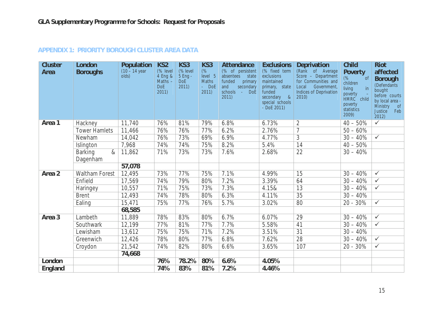| <b>Cluster</b><br><b>Area</b> | <b>London</b><br><b>Boroughs</b>   | <b>Population</b><br>$(10 - 14 \text{ year})$<br>$\dot{\text{o}}$ lds) | KS <sub>2</sub><br>(% level<br>4 Eng &<br>Maths $-$<br><b>DoE</b><br>2011 | KS3<br>(% level<br>5 Eng -<br><b>DoE</b><br>2011 | KS3<br>(%<br>level 5<br><b>Maths</b><br>$-$ DoE<br>2011) | <b>Attendance</b><br>(% of persistent<br>absentees<br>state<br>funded<br>primary<br>secondary<br>and<br>schools<br><b>DoE</b><br>2011) | <b>Exclusions</b><br>(% fixed term<br>exclusions<br>maintained<br>primary, state<br>funded<br>secondary<br>8 <sup>0</sup><br>special schools<br>$-DoE 2011$ | <b>Deprivation</b><br>(Rank of Average<br>Score - Department<br>for Communities and<br>Local<br>Government,<br><b>Indices of Deprivation</b><br>2010 | <b>Child</b><br><b>Poverty</b><br>(% )<br>of<br>children<br>in<br>living<br>poverty<br>HMRC child<br>poverty<br>statistics<br>2009) | <b>Riot</b><br>affected<br><b>Borough</b><br>(Defendants<br>bought<br>before courts<br>by local area -<br>Ministry<br>$\circ$ of<br>Feb<br><b>Justice</b><br>2012) |
|-------------------------------|------------------------------------|------------------------------------------------------------------------|---------------------------------------------------------------------------|--------------------------------------------------|----------------------------------------------------------|----------------------------------------------------------------------------------------------------------------------------------------|-------------------------------------------------------------------------------------------------------------------------------------------------------------|------------------------------------------------------------------------------------------------------------------------------------------------------|-------------------------------------------------------------------------------------------------------------------------------------|--------------------------------------------------------------------------------------------------------------------------------------------------------------------|
| Area 1                        | Hackney                            | 11,740                                                                 | 76%                                                                       | 81%                                              | 79%                                                      | 6.8%                                                                                                                                   | 6.73%                                                                                                                                                       | $\overline{2}$                                                                                                                                       | $40 - 50%$                                                                                                                          | $\sqrt{}$                                                                                                                                                          |
|                               | <b>Tower Hamlets</b>               | 11,466                                                                 | 76%                                                                       | 76%                                              | 77%                                                      | 6.2%                                                                                                                                   | 2.76%                                                                                                                                                       | $\overline{7}$                                                                                                                                       | $50 - 60%$                                                                                                                          |                                                                                                                                                                    |
|                               | Newham                             | 14,042                                                                 | 76%                                                                       | 73%                                              | 69%                                                      | 6.9%                                                                                                                                   | 4.77%                                                                                                                                                       | $\overline{3}$                                                                                                                                       | $30 - 40%$                                                                                                                          | $\overline{\checkmark}$                                                                                                                                            |
|                               | Islington                          | 7,968                                                                  | 74%                                                                       | 74%                                              | 75%                                                      | 8.2%                                                                                                                                   | 5.4%                                                                                                                                                        | 14                                                                                                                                                   | $40 - 50%$                                                                                                                          |                                                                                                                                                                    |
|                               | <b>Barking</b><br>$\&$<br>Dagenham | 11,862                                                                 | 71%                                                                       | 73%                                              | 73%                                                      | 7.6%                                                                                                                                   | 2.68%                                                                                                                                                       | $\overline{22}$                                                                                                                                      | $30 - 40%$                                                                                                                          |                                                                                                                                                                    |
|                               |                                    | 57,078                                                                 |                                                                           |                                                  |                                                          |                                                                                                                                        |                                                                                                                                                             |                                                                                                                                                      |                                                                                                                                     |                                                                                                                                                                    |
| Area <sub>2</sub>             | <b>Waltham Forest</b>              | 12,495                                                                 | 73%                                                                       | 77%                                              | 75%                                                      | 7.1%                                                                                                                                   | 4.99%                                                                                                                                                       | 15                                                                                                                                                   | $30 - 40%$                                                                                                                          | $\checkmark$                                                                                                                                                       |
|                               | Enfield                            | 17,569                                                                 | 74%                                                                       | 79%                                              | 80%                                                      | 7.2%                                                                                                                                   | 3.39%                                                                                                                                                       | 64                                                                                                                                                   | $30 - 40%$                                                                                                                          | $\checkmark$                                                                                                                                                       |
|                               | Haringey                           | 10,557                                                                 | 71%                                                                       | 75%                                              | 73%                                                      | 7.3%                                                                                                                                   | 4.15&                                                                                                                                                       | $\overline{13}$                                                                                                                                      | $30 - 40%$                                                                                                                          | $\overline{\checkmark}$                                                                                                                                            |
|                               | <b>Brent</b>                       | 12,493                                                                 | 74%                                                                       | 78%                                              | 80%                                                      | 6.3%                                                                                                                                   | 4.11%                                                                                                                                                       | 35                                                                                                                                                   | $30 - 40%$                                                                                                                          |                                                                                                                                                                    |
|                               | Ealing                             | 15,471                                                                 | 75%                                                                       | 77%                                              | 76%                                                      | 5.7%                                                                                                                                   | 3.02%                                                                                                                                                       | 80                                                                                                                                                   | 20 - 30%                                                                                                                            | $\overline{\checkmark}$                                                                                                                                            |
|                               |                                    | 68,585                                                                 |                                                                           |                                                  |                                                          |                                                                                                                                        |                                                                                                                                                             |                                                                                                                                                      |                                                                                                                                     |                                                                                                                                                                    |
| Area <sub>3</sub>             | Lambeth                            | 11,889                                                                 | 78%                                                                       | 83%                                              | 80%                                                      | 6.7%                                                                                                                                   | 6.07%                                                                                                                                                       | 29                                                                                                                                                   | $30 - 40%$                                                                                                                          | $\overline{\checkmark}$                                                                                                                                            |
|                               | Southwark                          | 12,199                                                                 | 77%                                                                       | 81%                                              | 77%                                                      | 7.7%                                                                                                                                   | 5.58%                                                                                                                                                       | 41                                                                                                                                                   | $30 - 40%$                                                                                                                          | $\overline{\checkmark}$                                                                                                                                            |
|                               | Lewisham                           | 13,612                                                                 | 75%                                                                       | 75%                                              | 71%                                                      | 7.2%                                                                                                                                   | 3.51%                                                                                                                                                       | 31                                                                                                                                                   | $30 - 40%$                                                                                                                          |                                                                                                                                                                    |
|                               | Greenwich                          | 12,426                                                                 | 78%                                                                       | 80%                                              | 77%                                                      | 6.8%                                                                                                                                   | 7.62%                                                                                                                                                       | $\overline{28}$                                                                                                                                      | $30 - 40%$                                                                                                                          | $\checkmark$                                                                                                                                                       |
|                               | Croydon                            | 21,542                                                                 | 74%                                                                       | 82%                                              | 80%                                                      | 6.6%                                                                                                                                   | 3.65%                                                                                                                                                       | 107                                                                                                                                                  | 20 - 30%                                                                                                                            | $\overline{\checkmark}$                                                                                                                                            |
|                               |                                    | 74,668                                                                 |                                                                           |                                                  |                                                          |                                                                                                                                        |                                                                                                                                                             |                                                                                                                                                      |                                                                                                                                     |                                                                                                                                                                    |
| London                        |                                    |                                                                        | 76%                                                                       | 78.2%                                            | 80%                                                      | 6.6%                                                                                                                                   | 4.05%                                                                                                                                                       |                                                                                                                                                      |                                                                                                                                     |                                                                                                                                                                    |
| <b>England</b>                |                                    |                                                                        | 74%                                                                       | 83%                                              | 81%                                                      | 7.2%                                                                                                                                   | 4.46%                                                                                                                                                       |                                                                                                                                                      |                                                                                                                                     |                                                                                                                                                                    |

### **APPENDIX 1: PRIORITY BOROUGH CLUSTER AREA DATA**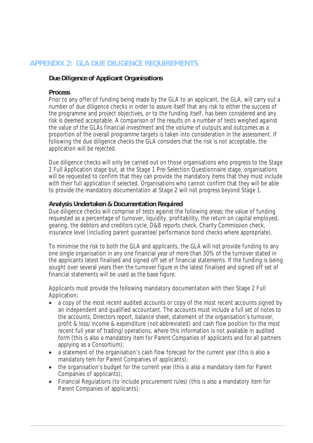### **APPENDIX 2: GLA DUE DILIGENCE REQUIREMENTS**

#### **Due Diligence of Applicant Organisations**

#### **Process**

Prior to any offer of funding being made by the GLA to an applicant, the GLA, will carry out a number of due diligence checks in order to assure itself that any risk to either the success of the programme and project objectives, or to the funding itself, has been considered and any risk is deemed acceptable. A comparison of the results on a number of tests weighed against the value of the GLAs financial investment and the volume of outputs and outcomes as a proportion of the overall programme targets is taken into consideration in the assessment. If following the due diligence checks the GLA considers that the risk is not acceptable, the application will be rejected.

Due diligence checks will only be carried out on those organisations who progress to the Stage 2 Full Application stage but, at the Stage 1 Pre-Selection Questionnaire stage, organisations will be requested to confirm that they can provide the mandatory items that they must include with their full application if selected. Organisations who cannot confirm that they will be able to provide the mandatory documentation at Stage 2 will not progress beyond Stage 1.

#### **Analysis Undertaken & Documentation Required**

Due diligence checks will comprise of tests against the following areas; the value of funding requested as a percentage of turnover, liquidity, profitability, the return on capital employed, gearing, the debtors and creditors cycle, D&B reports check, Charity Commission check, insurance level (including parent guarantee/performance bond checks where appropriate).

To minimise the risk to both the GLA and applicants, the GLA will not provide funding to any one single organisation in any one financial year of more than 30% of the turnover stated in the applicants latest finalised and signed off set of financial statements. If the funding is being sought over several years then the turnover figure in the latest finalised and signed off set of financial statements will be used as the base figure.

Applicants must provide the following mandatory documentation with their Stage 2 Full Application;

- a copy of the most recent audited accounts or copy of the most recent accounts signed by an independent and qualified accountant. The accounts must include a full set of notes to the accounts, Directors report, balance sheet, statement of the organisation's turnover, profit & loss/income & expenditure (not abbreviated) and cash flow position for the most recent full year of trading/operations, where this information is not available in audited form (this is also a mandatory item for Parent Companies of applicants and for all partners applying as a Consortium);
- a statement of the organisation's cash flow forecast for the current year (this is also a mandatory tem for Parent Companies of applicants);
- the organisation's budget for the current year (this is also a mandatory item for Parent Companies of applicants);
- Financial Regulations (to include procurement rules) (this is also a mandatory item for Parent Companies of applicants);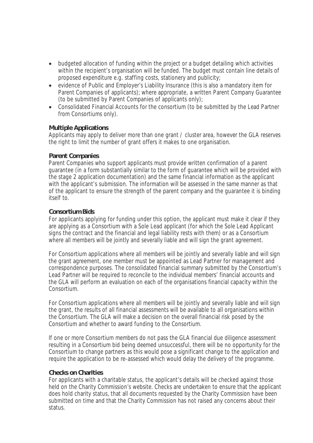- budgeted allocation of funding within the project or a budget detailing which activities within the recipient's organisation will be funded. The budget must contain line details of proposed expenditure e.g. staffing costs, stationery and publicity;
- evidence of Public and Employer's Liability Insurance (this is also a mandatory item for Parent Companies of applicants); where appropriate, a written Parent Company Guarantee (to be submitted by Parent Companies of applicants only);
- Consolidated Financial Accounts for the consortium (to be submitted by the Lead Partner from Consortiums only).

#### **Multiple Applications**

Applicants may apply to deliver more than one grant / cluster area, however the GLA reserves the right to limit the number of grant offers it makes to one organisation.

#### **Parent Companies**

Parent Companies who support applicants must provide written confirmation of a parent guarantee (in a form substantially similar to the form of guarantee which will be provided with the stage 2 application documentation) and the same financial information as the applicant with the applicant's submission. The information will be assessed in the same manner as that of the applicant to ensure the strength of the parent company and the guarantee it is binding itself to.

#### **Consortium Bids**

For applicants applying for funding under this option, the applicant must make it clear if they are applying as a Consortium with a Sole Lead applicant (for which the Sole Lead Applicant signs the contract and the financial and legal liability rests with them) or as a Consortium where all members will be jointly and severally liable and will sign the grant agreement.

For Consortium applications where all members will be jointly and severally liable and will sign the grant agreement, one member must be appointed as Lead Partner for management and correspondence purposes. The consolidated financial summary submitted by the Consortium's Lead Partner will be required to reconcile to the individual members' financial accounts and the GLA will perform an evaluation on each of the organisations financial capacity within the Consortium.

For Consortium applications where all members will be jointly and severally liable and will sign the grant, the results of all financial assessments will be available to all organisations within the Consortium. The GLA will make a decision on the overall financial risk posed by the Consortium and whether to award funding to the Consortium.

If one or more Consortium members do not pass the GLA financial due diligence assessment resulting in a Consortium bid being deemed unsuccessful, there will be no opportunity for the Consortium to change partners as this would pose a significant change to the application and require the application to be re-assessed which would delay the delivery of the programme.

#### **Checks on Charities**

For applicants with a charitable status, the applicant's details will be checked against those held on the Charity Commission's website. Checks are undertaken to ensure that the applicant does hold charity status, that all documents requested by the Charity Commission have been submitted on time and that the Charity Commission has not raised any concerns about their status.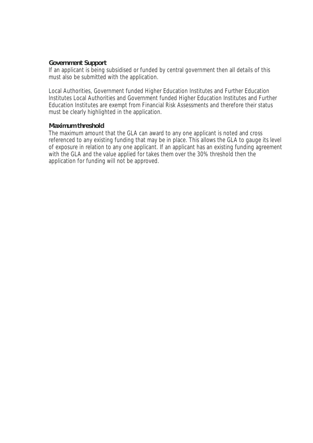#### **Government Support**

If an applicant is being subsidised or funded by central government then all details of this must also be submitted with the application.

Local Authorities, Government funded Higher Education Institutes and Further Education Institutes Local Authorities and Government funded Higher Education Institutes and Further Education Institutes are exempt from Financial Risk Assessments and therefore their status must be clearly highlighted in the application.

#### **Maximum threshold**

The maximum amount that the GLA can award to any one applicant is noted and cross referenced to any existing funding that may be in place. This allows the GLA to gauge its level of exposure in relation to any one applicant. If an applicant has an existing funding agreement with the GLA and the value applied for takes them over the 30% threshold then the application for funding will not be approved.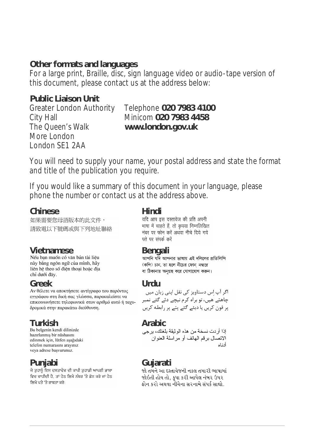### **Other formats and languages**

For a large print, Braille, disc, sign language video or audio-tape version of this document, please contact us at the address below:

### **Public Liaison Unit**

The Queen's Walk **www.london.gov.uk** More London London SE1 2AA

## Greater London Authority Telephone **020 7983 4100** City Hall Minicom **020 7983 4458**

You will need to supply your name, your postal address and state the format and title of the publication you require.

If you would like a summary of this document in your language, please phone the number or contact us at the address above.

**Chinese Hindi** 如果需要您母語版本的此文件, 請致電以下號碼或與下列地址聯絡

này bằng ngôn ngữ của mình, hãy liên hê theo số điên thoại hoặc địa chỉ dưới đây.

**Greek Urdu** εγγράφου στη δική σας γλώσσα, παρακαλείστε να επικοινωνήσετε τηλεφωνικά στον αριθμό αυτό ή ταχυδρομικά στην παρακάτω διεύθυνση.

hazırlanmış bir nüshasını edinmek için, lütfen aşağıdaki telefon numarasını arayınız veva adrese basvurunuz.

**Punjabi Gujarati**ਵਿਚ ਚਾਹੀਦੀ ਹੈ, ਤਾਂ ਹੇਠ ਲਿਖੇ ਨੰਬਰ 'ਤੇ ਫ਼ੋਨ ਕਰੋ ਜਾਂ ਹੇਠ ਲਿਖੇ ਪਤੇ 'ਤੇ ਰਾਬਤਾ ਕਰੋ:

भाषा में चाहते हैं, तो कृपया निम्नलिखित नंबर पर फोन करें अथवा नीचे दिये गये पते पर संपर्क करें

**Vietnamese Bengali** (কপি) চান, তা হলে নীচের ফোন নম্বরে বা ঠিকানায় অনুগ্রহ করে যোগাযোগ করুন।

چاھتے ھیں، تو براہ کرم نیچے دئے گئے نمبر پر فون کریں یا دیئے گئے پتے پر رابطه کریں

```
Turkish Arabic
              الاتصال بر قم الهاتف أو مر اسلة العنو ان
                             أدناه
```
જો તમને આ દસ્તાવેજની નકલ તમારી ભાષામાં જોઇતી હોય તો. કપા કરી આપેલ નંબર ઉપર કોન કરો અથવા નીચેના સરનામે સંપર્ક સાઘો.